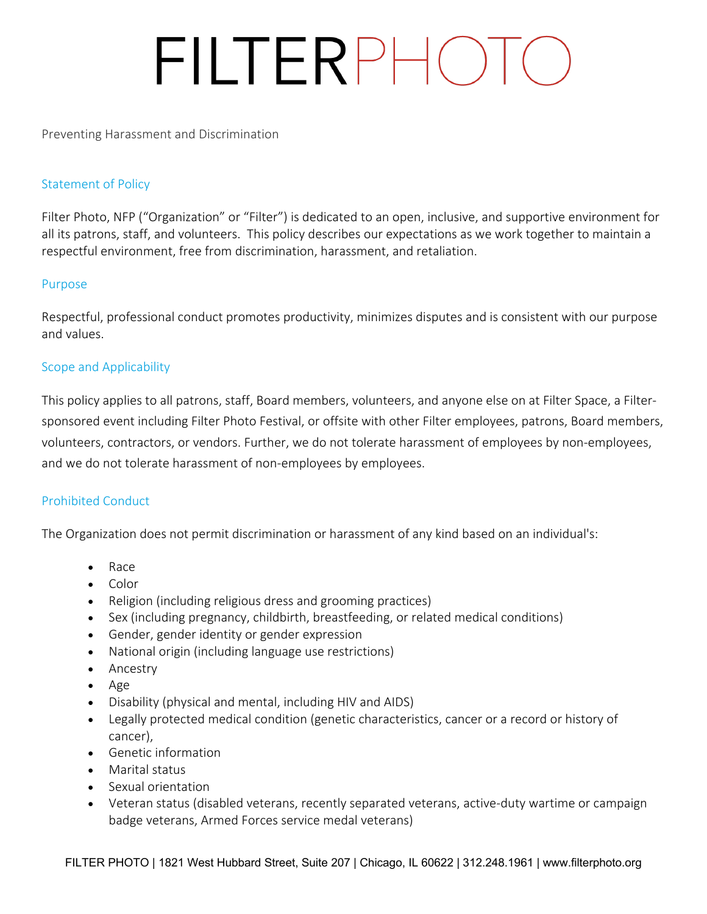# FILTERPHOTO

#### Preventing Harassment and Discrimination

## Statement of Policy

Filter Photo, NFP ("Organization" or "Filter") is dedicated to an open, inclusive, and supportive environment for all its patrons, staff, and volunteers. This policy describes our expectations as we work together to maintain a respectful environment, free from discrimination, harassment, and retaliation.

#### Purpose

Respectful, professional conduct promotes productivity, minimizes disputes and is consistent with our purpose and values.

#### Scope and Applicability

This policy applies to all patrons, staff, Board members, volunteers, and anyone else on at Filter Space, a Filtersponsored event including Filter Photo Festival, or offsite with other Filter employees, patrons, Board members, volunteers, contractors, or vendors. Further, we do not tolerate harassment of employees by non-employees, and we do not tolerate harassment of non-employees by employees.

## Prohibited Conduct

The Organization does not permit discrimination or harassment of any kind based on an individual's:

- Race
- Color
- Religion (including religious dress and grooming practices)
- Sex (including pregnancy, childbirth, breastfeeding, or related medical conditions)
- Gender, gender identity or gender expression
- National origin (including language use restrictions)
- Ancestry
- Age
- Disability (physical and mental, including HIV and AIDS)
- Legally protected medical condition (genetic characteristics, cancer or a record or history of cancer),
- Genetic information
- Marital status
- Sexual orientation
- Veteran status (disabled veterans, recently separated veterans, active-duty wartime or campaign badge veterans, Armed Forces service medal veterans)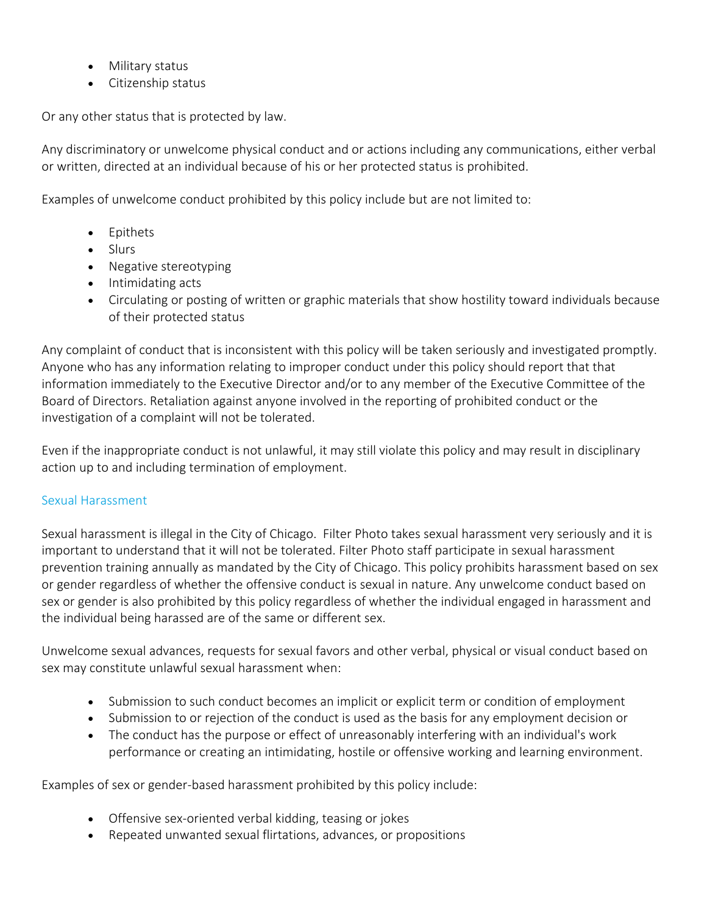- Military status
- Citizenship status

Or any other status that is protected by law.

Any discriminatory or unwelcome physical conduct and or actions including any communications, either verbal or written, directed at an individual because of his or her protected status is prohibited.

Examples of unwelcome conduct prohibited by this policy include but are not limited to:

- Epithets
- Slurs
- Negative stereotyping
- Intimidating acts
- Circulating or posting of written or graphic materials that show hostility toward individuals because of their protected status

Any complaint of conduct that is inconsistent with this policy will be taken seriously and investigated promptly. Anyone who has any information relating to improper conduct under this policy should report that that information immediately to the Executive Director and/or to any member of the Executive Committee of the Board of Directors. Retaliation against anyone involved in the reporting of prohibited conduct or the investigation of a complaint will not be tolerated.

Even if the inappropriate conduct is not unlawful, it may still violate this policy and may result in disciplinary action up to and including termination of employment.

## Sexual Harassment

Sexual harassment is illegal in the City of Chicago. Filter Photo takes sexual harassment very seriously and it is important to understand that it will not be tolerated. Filter Photo staff participate in sexual harassment prevention training annually as mandated by the City of Chicago. This policy prohibits harassment based on sex or gender regardless of whether the offensive conduct is sexual in nature. Any unwelcome conduct based on sex or gender is also prohibited by this policy regardless of whether the individual engaged in harassment and the individual being harassed are of the same or different sex.

Unwelcome sexual advances, requests for sexual favors and other verbal, physical or visual conduct based on sex may constitute unlawful sexual harassment when:

- Submission to such conduct becomes an implicit or explicit term or condition of employment
- Submission to or rejection of the conduct is used as the basis for any employment decision or
- The conduct has the purpose or effect of unreasonably interfering with an individual's work performance or creating an intimidating, hostile or offensive working and learning environment.

Examples of sex or gender-based harassment prohibited by this policy include:

- Offensive sex-oriented verbal kidding, teasing or jokes
- Repeated unwanted sexual flirtations, advances, or propositions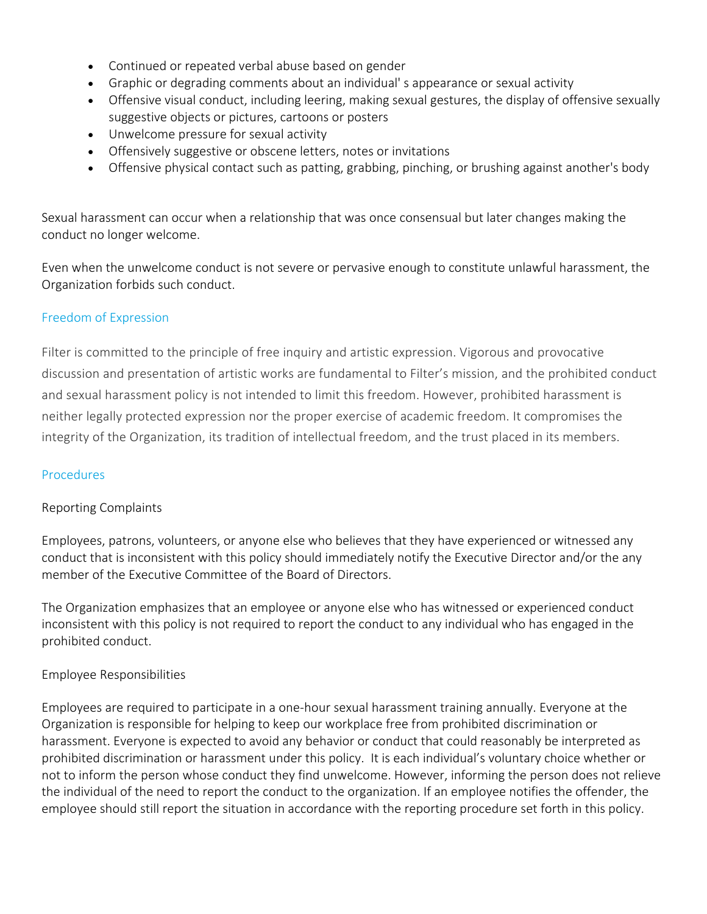- Continued or repeated verbal abuse based on gender
- Graphic or degrading comments about an individual' s appearance or sexual activity
- Offensive visual conduct, including leering, making sexual gestures, the display of offensive sexually suggestive objects or pictures, cartoons or posters
- Unwelcome pressure for sexual activity
- Offensively suggestive or obscene letters, notes or invitations
- Offensive physical contact such as patting, grabbing, pinching, or brushing against another's body

Sexual harassment can occur when a relationship that was once consensual but later changes making the conduct no longer welcome.

Even when the unwelcome conduct is not severe or pervasive enough to constitute unlawful harassment, the Organization forbids such conduct.

# Freedom of Expression

Filter is committed to the principle of free inquiry and artistic expression. Vigorous and provocative discussion and presentation of artistic works are fundamental to Filter's mission, and the prohibited conduct and sexual harassment policy is not intended to limit this freedom. However, prohibited harassment is neither legally protected expression nor the proper exercise of academic freedom. It compromises the integrity of the Organization, its tradition of intellectual freedom, and the trust placed in its members.

## **Procedures**

## Reporting Complaints

Employees, patrons, volunteers, or anyone else who believes that they have experienced or witnessed any conduct that is inconsistent with this policy should immediately notify the Executive Director and/or the any member of the Executive Committee of the Board of Directors.

The Organization emphasizes that an employee or anyone else who has witnessed or experienced conduct inconsistent with this policy is not required to report the conduct to any individual who has engaged in the prohibited conduct.

#### Employee Responsibilities

Employees are required to participate in a one-hour sexual harassment training annually. Everyone at the Organization is responsible for helping to keep our workplace free from prohibited discrimination or harassment. Everyone is expected to avoid any behavior or conduct that could reasonably be interpreted as prohibited discrimination or harassment under this policy. It is each individual's voluntary choice whether or not to inform the person whose conduct they find unwelcome. However, informing the person does not relieve the individual of the need to report the conduct to the organization. If an employee notifies the offender, the employee should still report the situation in accordance with the reporting procedure set forth in this policy.